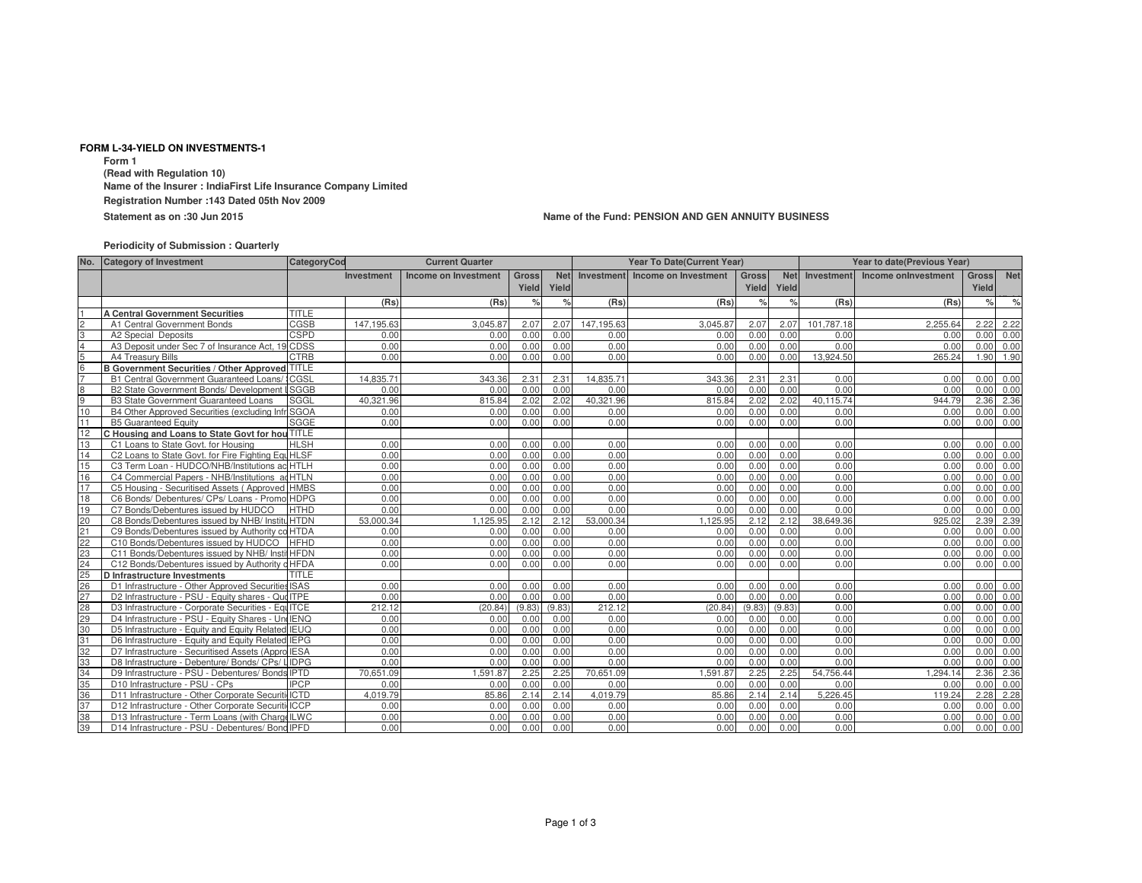## **FORM L-34-YIELD ON INVESTMENTS-1**

**Form 1 (Read with Regulation 10) Name of the Insurer : IndiaFirst Life Insurance Company LimitedRegistration Number :143 Dated 05th Nov 2009**

**Statement as on :30 Jun 2015**

## **Name of the Fund: PENSION AND GEN ANNUITY BUSINESS**

## **Periodicity of Submission : Quarterly**

| No.            | <b>Category of Investment</b>                      | CategoryCod  |                   | <b>Current Quarter</b> |               | Year To Date(Current Year) |            |                                 |               | Year to date(Previous Year) |            |                     |               |           |
|----------------|----------------------------------------------------|--------------|-------------------|------------------------|---------------|----------------------------|------------|---------------------------------|---------------|-----------------------------|------------|---------------------|---------------|-----------|
|                |                                                    |              | <b>Investment</b> | Income on Investment   | Gross         | <b>Net</b>                 |            | Investment Income on Investment | <b>Gross</b>  | <b>Net</b>                  | Investment | Income onlnvestment |               | Gross Net |
|                |                                                    |              |                   |                        | Yield         | Yield                      |            |                                 | Yield         | Yield                       |            |                     | Yield         |           |
|                |                                                    |              | (Rs)              | (Rs)                   | $\frac{1}{2}$ | $\frac{9}{6}$              | (Rs)       | (Rs)                            | $\frac{1}{2}$ | $\frac{9}{6}$               | (Rs)       | (Rs)                | $\frac{9}{6}$ | $\%$      |
|                | <b>A Central Government Securities</b>             | <b>TITLE</b> |                   |                        |               |                            |            |                                 |               |                             |            |                     |               |           |
| $\overline{c}$ | A1 Central Government Bonds                        | CGSB         | 147.195.63        | 3.045.87               | 2.07          | 2.07                       | 147,195.63 | 3.045.87                        | 2.07          | 2.07                        | 101,787.18 | 2.255.64            | 2.22          | 2.22      |
| 3              | A2 Special Deposits                                | <b>CSPD</b>  | 0.00              | 0.00                   | 0.00          | 0.00                       | 0.00       | 0.00                            | 0.00          | 0.00                        | 0.00       | 0.00                | 0.00          | 0.00      |
| $\Delta$       | A3 Deposit under Sec 7 of Insurance Act, 19        | <b>CDSS</b>  | 0.00              | 0.00                   | 0.00          | 0.00                       | 0.00       | 0.00                            | 0.00          | 0.00                        | 0.00       | 0.00                | 0.00          | 0.00      |
| 5              | A4 Treasury Bills                                  | <b>CTRB</b>  | 0.00              | 0.00                   | 0.00          | 0.00                       | 0.00       | 0.00                            | 0.00          | 0.00                        | 13,924.50  | 265.24              | 1.90          | 1.90      |
| 6              | B Government Securities / Other Approved TITLE     |              |                   |                        |               |                            |            |                                 |               |                             |            |                     |               |           |
| $\overline{7}$ | B1 Central Government Guaranteed Loans/            | <b>:CGSL</b> | 14.835.71         | 343.36                 | $2.3^{\circ}$ | 2.31                       | 14.835.71  | 343.36                          | 2.31          | 2.31                        | 0.00       | 0.00                | 0.00          | 0.00      |
| 8              | B2 State Government Bonds/ Development             | <b>ISGGB</b> | 0.00              | 0.00                   | 0.00          | 0.00                       | 0.00       | 0.00                            | 0.00          | 0.00                        | 0.00       | 0.00                | 0.00          | 0.00      |
| 9              | <b>B3 State Government Guaranteed Loans</b>        | <b>SGGL</b>  | 40.321.96         | 815.84                 | 2.02          | 2.02                       | 40.321.96  | 815.84                          | 2.02          | 2.02                        | 40.115.74  | 944.79              | 2.36          | 2.36      |
| 10             | B4 Other Approved Securities (excluding Inf        | SGOA         | 0.00              | 0.00                   | 0.00          | 0.00                       | 0.00       | 0.00                            | 0.00          | 0.00                        | 0.00       | 0.00                | 0.00          | 0.00      |
| 11             | <b>B5 Guaranteed Equity</b>                        | SGGE         | 0.00              | 0.00                   | 0.00          | 0.00                       | 0.00       | 0.00                            | 0.00          | 0.00                        | 0.00       | 0.00                | 0.00          | 0.00      |
| 12             | C Housing and Loans to State Govt for hou TITLE    |              |                   |                        |               |                            |            |                                 |               |                             |            |                     |               |           |
| 13             | C1 Loans to State Govt. for Housing                | <b>HLSH</b>  | 0.00              | 0.00                   | 0.00          | 0.00                       | 0.00       | 0.00                            | 0.00          | 0.00                        | 0.00       | 0.00                | 0.00          | 0.00      |
| 14             | C2 Loans to State Govt. for Fire Fighting Equ HLSF |              | 0.00              | 0.00                   | 0.00          | 0.00                       | 0.00       | 0.00                            | 0.00          | 0.00                        | 0.00       | 0.00                | 0.00          | 0.00      |
| 15             | C3 Term Loan - HUDCO/NHB/Institutions ac HTLH      |              | 0.00              | 0.00                   | 0.00          | 0.00                       | 0.00       | 0.00                            | 0.00          | 0.00                        | 0.00       | 0.00                | 0.00          | 0.00      |
| 16             | C4 Commercial Papers - NHB/Institutions ad HTLN    |              | 0.00              | 0.00                   | 0.00          | 0.00                       | 0.00       | 0.00                            | 0.00          | 0.00                        | 0.00       | 0.00                | 0.00          | 0.00      |
| 17             | C5 Housing - Securitised Assets (Approved HMBS     |              | 0.00              | 0.00                   | 0.00          | 0.00                       | 0.00       | 0.00                            | 0.00          | 0.00                        | 0.00       | 0.00                | 0.00          | 0.00      |
| 18             | C6 Bonds/ Debentures/ CPs/ Loans - Promo HDPG      |              | 0.00              | 0.00                   | 0.00          | 0.00                       | 0.00       | 0.00                            | 0.00          | 0.00                        | 0.00       | 0.00                | 0.00          | 0.00      |
| 19             | C7 Bonds/Debentures issued by HUDCO                | <b>HTHD</b>  | 0.00              | 0.00                   | 0.00          | 0.00                       | 0.00       | 0.00                            | 0.00          | 0.00                        | 0.00       | 0.00                | 0.00          | 0.00      |
| 20             | C8 Bonds/Debentures issued by NHB/ InstituHTDN     |              | 53.000.34         | 1.125.95               | 2.12          | 2.12                       | 53,000.34  | 1.125.95                        | 2.12          | 2.12                        | 38,649.36  | 925.02              | 2.39          | 2.39      |
| 21             | C9 Bonds/Debentures issued by Authority co HTDA    |              | 0.00              | 0.00                   | 0.00          | 0.00                       | 0.00       | 0.00                            | 0.00          | 0.00                        | 0.00       | 0.00                | 0.00          | 0.00      |
| 22             | C10 Bonds/Debentures issued by HUDCO               | <b>HFHD</b>  | 0.00              | 0.00                   | 0.00          | 0.00                       | 0.00       | 0.00                            | 0.00          | 0.00                        | 0.00       | 0.00                | 0.00          | 0.00      |
| 23             | C11 Bonds/Debentures issued by NHB/ InstitHFDN     |              | 0.00              | 0.00                   | 0.00          | 0.00                       | 0.00       | 0.00                            | 0.00          | 0.00                        | 0.00       | 0.00                | 0.00          | 0.00      |
| 24             | C12 Bonds/Debentures issued by Authority o HFDA    |              | 0.00              | 0.00                   | 0.00          | 0.00                       | 0.00       | 0.00                            | 0.00          | 0.00                        | 0.00       | 0.00                | 0.00          | 0.00      |
| 25             | D Infrastructure Investments                       | <b>TITLE</b> |                   |                        |               |                            |            |                                 |               |                             |            |                     |               |           |
| 26             | D1 Infrastructure - Other Approved Securities ISAS |              | 0.00              | 0.00                   | 0.00          | 0.00                       | 0.00       | 0.00                            | 0.00          | 0.00                        | 0.00       | 0.00                | 0.00          | 0.00      |
| 27             | D2 Infrastructure - PSU - Equity shares - Que ITPE |              | 0.00              | 0.00                   | 0.00          | 0.00                       | 0.00       | 0.00                            | 0.00          | 0.00                        | 0.00       | 0.00                | 0.00          | 0.00      |
| 28             | D3 Infrastructure - Corporate Securities - EquITCE |              | 212.12            | (20.84)                | (9.83)        | (9.83)                     | 212.12     | (20.84)                         | (9.83)        | (9.83)                      | 0.00       | 0.00                | 0.00          | 0.00      |
| 29             | D4 Infrastructure - PSU - Equity Shares - Und IENQ |              | 0.00              | 0.00                   | 0.00          | 0.00                       | 0.00       | 0.00                            | 0.00          | 0.00                        | 0.00       | 0.00                | 0.00          | 0.00      |
| 30             | D5 Infrastructure - Equity and Equity Related IEUQ |              | 0.00              | 0.00                   | 0.00          | 0.00                       | 0.00       | 0.00                            | 0.00          | 0.00                        | 0.00       | 0.00                | 0.00          | 0.00      |
| 31             | D6 Infrastructure - Equity and Equity Related IEPG |              | 0.00              | 0.00                   | 0.00          | 0.00                       | 0.00       | 0.00                            | 0.00          | 0.00                        | 0.00       | 0.00                | 0.00          | 0.00      |
| 32             | D7 Infrastructure - Securitised Assets (Appro IESA |              | 0.00              | 0.00                   | 0.00          | 0.00                       | 0.00       | 0.00                            | 0.00          | 0.00                        | 0.00       | 0.00                | 0.00          | 0.00      |
| 33             | D8 Infrastructure - Debenture/ Bonds/ CPs/         | <b>LIDPG</b> | 0.00              | 0.00                   | 0.00          | 0.00                       | 0.00       | 0.00                            | 0.00          | 0.00                        | 0.00       | 0.00                | 0.00          | 0.00      |
| 34             | D9 Infrastructure - PSU - Debentures/ Bonds IPTD   |              | 70.651.09         | .591.87                | 2.25          | 2.25                       | 70.651.09  | 1.591.87                        | 2.25          | 2.25                        | 54,756.44  | .294.14             | 2.36          | 2.36      |
| 35             | D10 Infrastructure - PSU - CPs                     | <b>IPCP</b>  | 0.00              | 0.00                   | 0.00          | 0.00                       | 0.00       | 0.00                            | 0.00          | 0.00                        | 0.00       | 0.00                | 0.00          | 0.00      |
| 36             | D11 Infrastructure - Other Corporate Securit       | i ICTD       | 4.019.79          | 85.86                  | 2.14          | 2.14                       | 4.019.79   | 85.86                           | 2.14          | 2.14                        | 5,226.45   | 119.24              | 2.28          | 2.28      |
| 37             | D12 Infrastructure - Other Corporate Securiti ICCP |              | 0.00              | 0.00                   | 0.00          | 0.00                       | 0.00       | 0.00                            | 0.00          | 0.00                        | 0.00       | 0.00                | 0.00          | 0.00      |
| 38             | D13 Infrastructure - Term Loans (with Charge ILWC  |              | 0.00              | 0.00                   | 0.00          | 0.00                       | 0.00       | 0.00                            | 0.00          | 0.00                        | 0.00       | 0.00                | 0.00          | 0.00      |
| 39             | D14 Infrastructure - PSU - Debentures/ Bond IPFD   |              | 0.00              | 0.00                   | 0.00          | 0.00                       | 0.00       | 0.00                            | 0.00          | 0.00                        | 0.00       | 0.00                | 0.00          | 0.00      |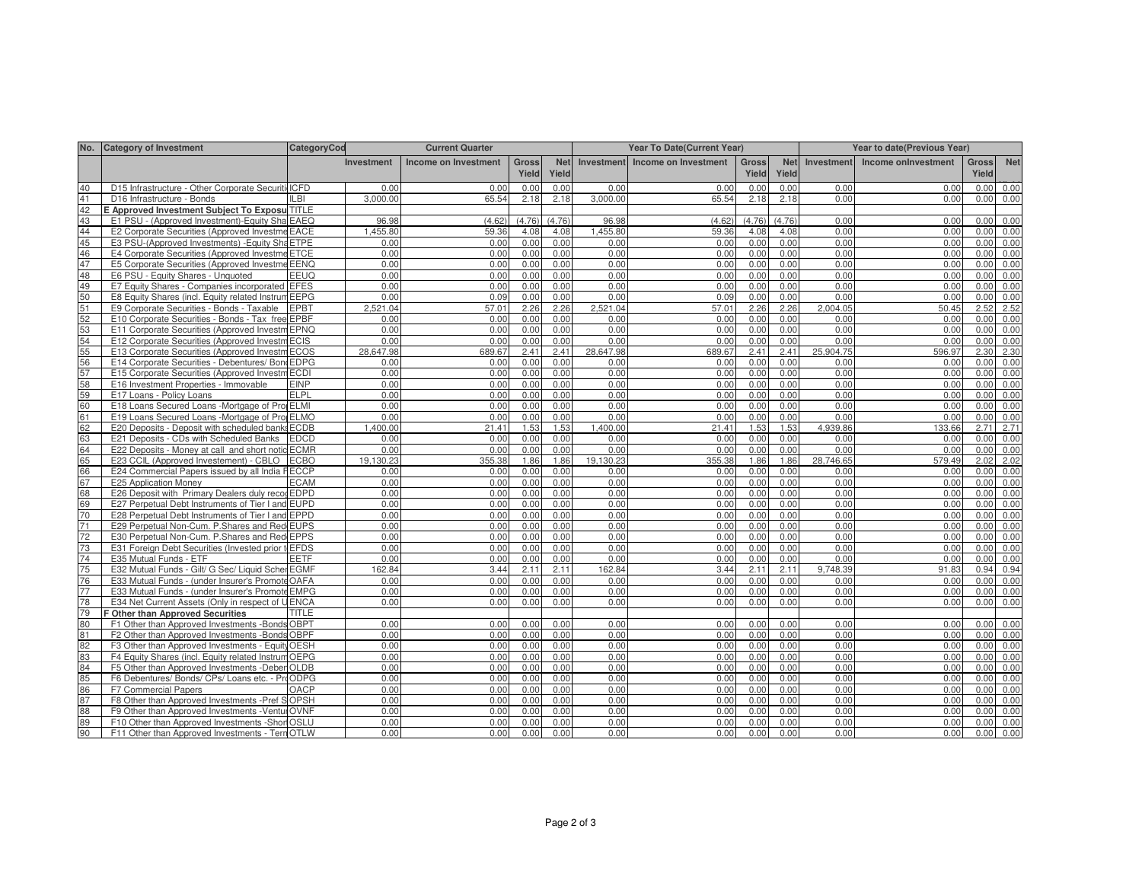| No.      | <b>Category of Investment</b>                                                                         | CategoryCod  |                   | <b>Current Quarter</b> | Year To Date(Current Year) |              |                   |                      | Year to date(Previous Year) |                     |              |                     |                       |              |
|----------|-------------------------------------------------------------------------------------------------------|--------------|-------------------|------------------------|----------------------------|--------------|-------------------|----------------------|-----------------------------|---------------------|--------------|---------------------|-----------------------|--------------|
|          |                                                                                                       |              | <b>Investment</b> | Income on Investment   | <b>Gross</b><br>Yield      | Net<br>Yield | <b>Investment</b> | Income on Investment | <b>Gross</b><br>Yield       | <b>Net</b><br>Yield | Investment   | Income onlnvestment | <b>Gross</b><br>Yield | <b>Net</b>   |
| 40       | D15 Infrastructure - Other Corporate Securiti ICFD                                                    |              | 0.00              | 0.00                   | 0.00                       | 0.00         | 0.00              | 0.00                 | 0.00                        | 0.00                | 0.00         | 0.00                | 0.00                  | 0.00         |
| 41       | D16 Infrastructure - Bonds                                                                            | LBI          | 3.000.00          | 65.54                  | 2.18                       | 2.18         | 3,000.00          | 65.54                | 2.18                        | 2.18                | 0.00         | 0.00                | 0.00                  | 0.00         |
| 42       | E Approved Investment Subject To Exposu TITLE                                                         |              |                   |                        |                            |              |                   |                      |                             |                     |              |                     |                       |              |
| 43       | E1 PSU - (Approved Investment)-Equity Sha EAEQ                                                        |              | 96.98             | (4.62)                 | (4.76)                     | (4.76)       | 96.98             | (4.62)               | (4.76)                      | (4.76)              | 0.00         | 0.00                | 0.00                  | 0.00         |
| 44       | E2 Corporate Securities (Approved Investme EACE                                                       |              | 1.455.80          | 59.36                  | 4.08                       | 4.08         | 1,455.80          | 59.36                | 4.08                        | 4.08                | 0.00         | 0.00                | 0.00                  | 0.00         |
| 45       | E3 PSU-(Approved Investments) - Equity Sha ETPE                                                       |              | 0.00              | 0.00                   | 0.00                       | 0.00         | 0.00              | 0.00                 | 0.00                        | 0.00                | 0.00         | 0.00                | 0.00                  | 0.00         |
| 46       | E4 Corporate Securities (Approved Investme ETCE                                                       |              | 0.00              | 0.00                   | 0.00                       | 0.00         | 0.00              | 0.00                 | 0.00                        | 0.00                | 0.00         | 0.00                | 0.00                  | 0.00         |
| 47       | E5 Corporate Securities (Approved Investme EENQ                                                       |              | 0.00              | 0.00                   | 0.00                       | 0.00         | 0.00              | 0.00                 | 0.00                        | 0.00                | 0.00         | 0.00                | 0.00                  | 0.00         |
| 48       | E6 PSU - Equity Shares - Unquoted                                                                     | EEUQ         | 0.00              | 0.00                   | 0.00                       | 0.00         | 0.00              | 0.00                 | 0.00                        | 0.00                | 0.00         | 0.00                | 0.00                  | 0.00         |
| 49       | E7 Equity Shares - Companies incorporated EFES                                                        |              | 0.00              | 0.00                   | 0.00                       | 0.00         | 0.00              | 0.00                 | 0.00                        | 0.00                | 0.00         | 0.00                | 0.00                  | 0.00         |
| 50       | E8 Equity Shares (incl. Equity related Instrum EEPG                                                   |              | 0.00              | 0.09                   | 0.00                       | 0.00         | 0.00              | 0.09                 | 0.00                        | 0.00                | 0.00         | 0.00                | 0.00                  | 0.00         |
| 51       | E9 Corporate Securities - Bonds - Taxable                                                             | <b>EPBT</b>  | 2.521.04          | 57.01                  | 2.26                       | 2.26         | 2.521.04          | 57.01                | 2.26                        | 2.26                | 2.004.05     | 50.45               | 2.52                  | 2.52         |
| 52       | E10 Corporate Securities - Bonds - Tax free EPBF                                                      |              | 0.00              | 0.00                   | 0.00                       | 0.00         | 0.00              | 0.00                 | 0.00                        | 0.00                | 0.00         | 0.00                | 0.00                  | 0.00         |
| 53       | E11 Corporate Securities (Approved Investm EPNQ                                                       |              | 0.00              | 0.00                   | 0.00                       | 0.00         | 0.00              | 0.00                 | 0.00                        | 0.00                | 0.00         | 0.00                | 0.00                  | 0.00         |
| 54       | E12 Corporate Securities (Approved Investm ECIS                                                       |              | 0.00              | 0.00                   | 0.00                       | 0.00         | 0.00              | 0.00                 | 0.00                        | 0.00                | 0.00         | 0.00                | 0.00                  | 0.00         |
| 55       | E13 Corporate Securities (Approved Investm ECOS                                                       |              | 28,647.98         | 689.67                 | 2.41                       | 2.41         | 28,647.98         | 689.67               | 2.41                        | 2.41                | 25,904.75    | 596.97              | 2.30                  | 2.30         |
| 56       | E14 Corporate Securities - Debentures/ Bond EDPG                                                      |              | 0.00              | 0.00                   | 0.00                       | 0.00         | 0.00              | 0.00                 | 0.00                        | 0.00                | 0.00         | 0.00                | 0.00                  | 0.00         |
| 57       | E15 Corporate Securities (Approved Investm ECDI                                                       |              | 0.00              | 0.00                   | 0.00                       | 0.00         | 0.00              | 0.00                 | 0.00                        | 0.00                | 0.00         | 0.00                | 0.00                  | 0.00         |
| 58       | E16 Investment Properties - Immovable                                                                 | <b>EINP</b>  | 0.00              | 0.00                   | 0.00                       | 0.00         | 0.00              | 0.00                 | 0.00                        | 0.00                | 0.00         | 0.00                | 0.00                  | 0.00         |
| 59       | E17 Loans - Policy Loans                                                                              | <b>ELPL</b>  | 0.00              | 0.00                   | 0.00                       | 0.00         | 0.00              | 0.00                 | 0.00                        | 0.00                | 0.00         | 0.00                | 0.00                  | 0.00         |
| 60       | E18 Loans Secured Loans -Mortgage of Pro ELMI                                                         |              | 0.00              | 0.00                   | 0.00                       | 0.00         | 0.00              | 0.00                 | 0.00                        | 0.00                | 0.00         | 0.00                | 0.00                  | 0.00         |
| 61       | E19 Loans Secured Loans -Mortgage of Pro                                                              | <b>ELMO</b>  | 0.00              | 0.00                   | 0.00                       | 0.00         | 0.00              | 0.00                 | 0.00                        | 0.00                | 0.00         | 0.00                | 0.00                  | 0.00         |
| 62       | E20 Deposits - Deposit with scheduled banks ECDB                                                      |              | 1.400.00          | 21.41                  | 1.53                       | 1.53         | 1.400.00          | 21.41                | 1.53                        | 1.53                | 4.939.86     | 133.66              | 2.71                  | 2.71         |
| 63       | E21 Deposits - CDs with Scheduled Banks                                                               | <b>EDCD</b>  | 0.00              | 0.00                   | 0.00                       | 0.00         | 0.00              | 0.00                 | 0.00                        | 0.00                | 0.00         | 0.00                | 0.00                  | 0.00         |
| 64       | E22 Deposits - Money at call and short notic ECMR                                                     |              | 0.00              | 0.00                   | 0.00                       | 0.00         | 0.00              | 0.00                 | 0.00                        | 0.00                | 0.00         | 0.00                | 0.00                  | 0.00         |
| 65       | E23 CCIL (Approved Investement) - CBLO                                                                | <b>ECBO</b>  | 19.130.23         | 355.38                 | 1.86                       | 1.86         | 19,130.23         | 355.38               | 1.86                        | 1.86                | 28,746.65    | 579.49              | 2.02                  | 2.02         |
| 66       | E24 Commercial Papers issued by all India FECCP                                                       |              | 0.00              | 0.00                   | 0.00                       | 0.00         | 0.00              | 0.00                 | 0.00                        | 0.00                | 0.00         | 0.00                | 0.00                  | 0.00         |
| 67       | E25 Application Money                                                                                 | <b>ECAM</b>  | 0.00              | 0.00                   | 0.00                       | 0.00         | 0.00              | 0.00                 | 0.00                        | 0.00                | 0.00         | 0.00                | 0.00                  | 0.00         |
| 68       | E26 Deposit with Primary Dealers duly recor EDPD                                                      |              | 0.00              | 0.00                   | 0.00                       | 0.00         | 0.00              | 0.00                 | 0.00                        | 0.00                | 0.00         | 0.00                | 0.00                  | 0.00         |
| 69       | E27 Perpetual Debt Instruments of Tier I and EUPD                                                     |              | 0.00              | 0.00                   | 0.00                       | 0.00         | 0.00              | 0.00                 | 0.00                        | 0.00                | 0.00         | 0.00                | 0.00                  | 0.00         |
| 70       | E28 Perpetual Debt Instruments of Tier I and EPPD                                                     |              | 0.00              | 0.00                   | 0.00                       | 0.00         | 0.00              | 0.00                 | 0.00                        | 0.00                | 0.00         | 0.00                | 0.00                  | 0.00         |
| 71       | E29 Perpetual Non-Cum. P.Shares and Red EUPS                                                          |              | 0.00              | 0.00                   | 0.00                       | 0.00         | 0.00              | 0.00                 | 0.00                        | 0.00                | 0.00         | 0.00                | 0.00                  | 0.00         |
| 72       | E30 Perpetual Non-Cum. P.Shares and Red EPPS                                                          |              | 0.00              | 0.00                   | 0.00                       | 0.00         | 0.00              | 0.00                 | 0.00                        | 0.00                | 0.00         | 0.00                | 0.00                  | 0.00         |
| 73       | E31 Foreign Debt Securities (Invested prior to EFDS                                                   |              | 0.00              | 0.00                   | 0.00                       | 0.00         | 0.00              | 0.00                 | 0.00                        | 0.00                | 0.00         | 0.00                | 0.00                  | 0.00         |
| 74       | E35 Mutual Funds - ETF                                                                                | <b>EETF</b>  | 0.00              | 0.00                   | 0.00                       | 0.00         | 0.00              | 0.00                 | 0.00                        | 0.00                | 0.00         | 0.00                | 0.00                  | 0.00         |
| 75       | E32 Mutual Funds - Gilt/ G Sec/ Liquid Scher EGMF                                                     |              | 162.84            | 3.44                   | 2.11                       | 2.11         | 162.84            | 3.44                 | 2.11                        | 2.11                | 9.748.39     | 91.83               | 0.94                  | 0.94         |
| 76<br>77 | E33 Mutual Funds - (under Insurer's Promote OAFA                                                      |              | 0.00              | 0.00                   | 0.00                       | 0.00         | 0.00              | 0.00                 | 0.00                        | 0.00                | 0.00         | 0.00                | 0.00                  | 0.00         |
| 78       | E33 Mutual Funds - (under Insurer's Promote EMPG                                                      |              | 0.00<br>0.00      | 0.00<br>0.00           | 0.00<br>0.00               | 0.00<br>0.00 | 0.00<br>0.00      | 0.00<br>0.00         | 0.00<br>0.00                | 0.00<br>0.00        | 0.00<br>0.00 | 0.00<br>0.00        | 0.00<br>0.00          | 0.00         |
|          | E34 Net Current Assets (Only in respect of UENCA                                                      |              |                   |                        |                            |              |                   |                      |                             |                     |              |                     |                       | 0.00         |
| 79       | F Other than Approved Securities                                                                      | <b>TITLE</b> |                   |                        |                            |              |                   |                      |                             |                     | 0.00         |                     |                       | 0.00         |
| 80<br>81 | F1 Other than Approved Investments -Bonds OBPT                                                        |              | 0.00<br>0.00      | 0.00<br>0.00           | 0.00<br>0.00               | 0.00<br>0.00 | 0.00<br>0.00      | 0.00<br>0.00         | 0.00                        | 0.00<br>0.00        | 0.00         | 0.00<br>0.00        | 0.00                  |              |
| 82       | F2 Other than Approved Investments -Bonds OBPF<br>F3 Other than Approved Investments - Equity OESH    |              | 0.00              | 0.00                   | 0.00                       | 0.00         | 0.00              | 0.00                 | 0.00<br>0.00                | 0.00                | 0.00         | 0.00                | 0.00<br>0.00          | 0.00<br>0.00 |
| 83       |                                                                                                       |              | 0.00              |                        | 0.00                       | 0.00         | 0.00              | 0.00                 | 0.00                        | 0.00                | 0.00         | 0.00                | 0.00                  | 0.00         |
| 84       | F4 Equity Shares (incl. Equity related Instrum OEPG<br>F5 Other than Approved Investments -Deber OLDB |              | 0.00              | 0.00<br>0.00           | 0.00                       | 0.00         | 0.00              | 0.00                 | 0.00                        | 0.00                | 0.00         | 0.00                | 0.00                  | 0.00         |
| 85       | F6 Debentures/ Bonds/ CPs/ Loans etc. - ProODPG                                                       |              | 0.00              | 0.00                   | 0.00                       | 0.00         | 0.00              | 0.00                 | 0.00                        | 0.00                | 0.00         | 0.00                | 0.00                  | 0.00         |
| 86       | F7 Commercial Papers                                                                                  | OACP         | 0.00              | 0.00                   | 0.00                       | 0.00         | 0.00              | 0.00                 | 0.00                        | 0.00                | 0.00         | 0.00                | 0.00                  | 0.00         |
| 87       | F8 Other than Approved Investments - Pref SOPSH                                                       |              | 0.00              | 0.00                   | 0.00                       | 0.00         | 0.00              | 0.00                 | 0.00                        | 0.00                | 0.00         | 0.00                | 0.00                  | 0.00         |
| 88       | F9 Other than Approved Investments - Ventur OVNF                                                      |              | 0.00              | 0.00                   | 0.00                       | 0.00         | 0.00              | 0.00                 | 0.00                        | 0.00                | 0.00         | 0.00                | 0.00                  | 0.00         |
| 89       | F10 Other than Approved Investments - Shorl OSLU                                                      |              | 0.00              | 0.00                   | 0.00                       | 0.00         | 0.00              | 0.00                 | 0.00                        | 0.00                | 0.00         | 0.00                | 0.00                  | 0.00         |
| 90       | F11 Other than Approved Investments - Tern OTLW                                                       |              | 0.00              | 0.00                   | 0.00                       | 0.00         | 0.00              | 0.00                 | 0.00                        | 0.00                | 0.00         | 0.00                | 0.00                  | 0.00         |
|          |                                                                                                       |              |                   |                        |                            |              |                   |                      |                             |                     |              |                     |                       |              |